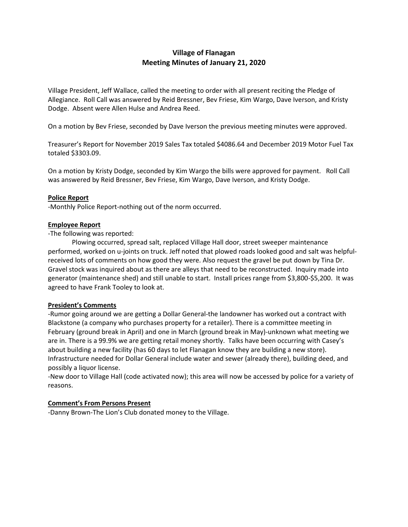# **Village of Flanagan Meeting Minutes of January 21, 2020**

Village President, Jeff Wallace, called the meeting to order with all present reciting the Pledge of Allegiance. Roll Call was answered by Reid Bressner, Bev Friese, Kim Wargo, Dave Iverson, and Kristy Dodge. Absent were Allen Hulse and Andrea Reed.

On a motion by Bev Friese, seconded by Dave Iverson the previous meeting minutes were approved.

Treasurer's Report for November 2019 Sales Tax totaled \$4086.64 and December 2019 Motor Fuel Tax totaled \$3303.09.

On a motion by Kristy Dodge, seconded by Kim Wargo the bills were approved for payment. Roll Call was answered by Reid Bressner, Bev Friese, Kim Wargo, Dave Iverson, and Kristy Dodge.

### **Police Report**

-Monthly Police Report-nothing out of the norm occurred.

### **Employee Report**

-The following was reported:

Plowing occurred, spread salt, replaced Village Hall door, street sweeper maintenance performed, worked on u-joints on truck. Jeff noted that plowed roads looked good and salt was helpfulreceived lots of comments on how good they were. Also request the gravel be put down by Tina Dr. Gravel stock was inquired about as there are alleys that need to be reconstructed. Inquiry made into generator (maintenance shed) and still unable to start. Install prices range from \$3,800-\$5,200. It was agreed to have Frank Tooley to look at.

#### **President's Comments**

-Rumor going around we are getting a Dollar General-the landowner has worked out a contract with Blackstone (a company who purchases property for a retailer). There is a committee meeting in February (ground break in April) and one in March (ground break in May)-unknown what meeting we are in. There is a 99.9% we are getting retail money shortly. Talks have been occurring with Casey's about building a new facility (has 60 days to let Flanagan know they are building a new store). Infrastructure needed for Dollar General include water and sewer (already there), building deed, and possibly a liquor license.

-New door to Village Hall (code activated now); this area will now be accessed by police for a variety of reasons.

#### **Comment's From Persons Present**

-Danny Brown-The Lion's Club donated money to the Village.